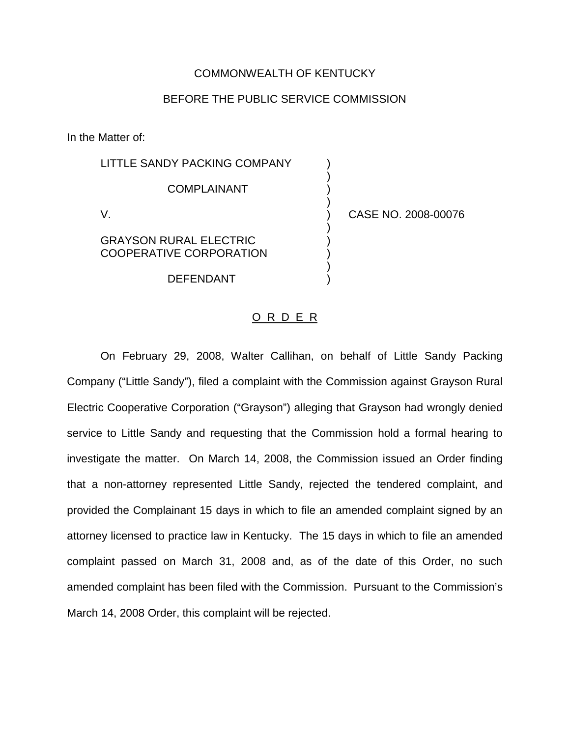## COMMONWEALTH OF KENTUCKY

## BEFORE THE PUBLIC SERVICE COMMISSION

In the Matter of:

| LITTLE SANDY PACKING COMPANY                                    |                     |
|-----------------------------------------------------------------|---------------------|
| <b>COMPLAINANT</b>                                              |                     |
|                                                                 | CASE NO. 2008-00076 |
| <b>GRAYSON RURAL ELECTRIC</b><br><b>COOPERATIVE CORPORATION</b> |                     |
| DEFENDANT                                                       |                     |
|                                                                 |                     |

## O R D E R

On February 29, 2008, Walter Callihan, on behalf of Little Sandy Packing Company ("Little Sandy"), filed a complaint with the Commission against Grayson Rural Electric Cooperative Corporation ("Grayson") alleging that Grayson had wrongly denied service to Little Sandy and requesting that the Commission hold a formal hearing to investigate the matter. On March 14, 2008, the Commission issued an Order finding that a non-attorney represented Little Sandy, rejected the tendered complaint, and provided the Complainant 15 days in which to file an amended complaint signed by an attorney licensed to practice law in Kentucky. The 15 days in which to file an amended complaint passed on March 31, 2008 and, as of the date of this Order, no such amended complaint has been filed with the Commission. Pursuant to the Commission's March 14, 2008 Order, this complaint will be rejected.